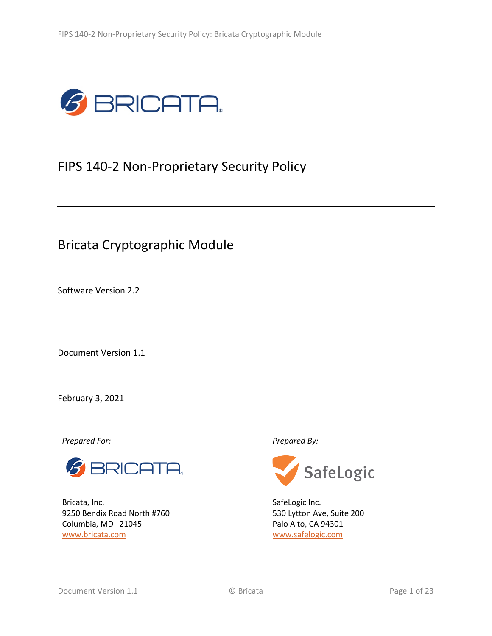

# FIPS 140-2 Non-Proprietary Security Policy

# Bricata Cryptographic Module

Software Version 2.2

Document Version 1.1

February 3, 2021

*Prepared For: Prepared By:*



Bricata, Inc. 9250 Bendix Road North #760 Columbia, MD 21045 [www.bricata.com](http://www.bricata.com/)



SafeLogic Inc. 530 Lytton Ave, Suite 200 Palo Alto, CA 94301 [www.safelogic.com](http://www.safelogic.com/)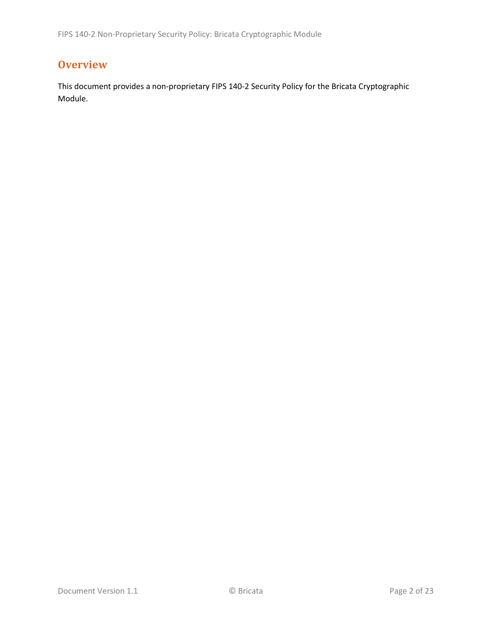# **Overview**

This document provides a non-proprietary FIPS 140-2 Security Policy for the Bricata Cryptographic Module.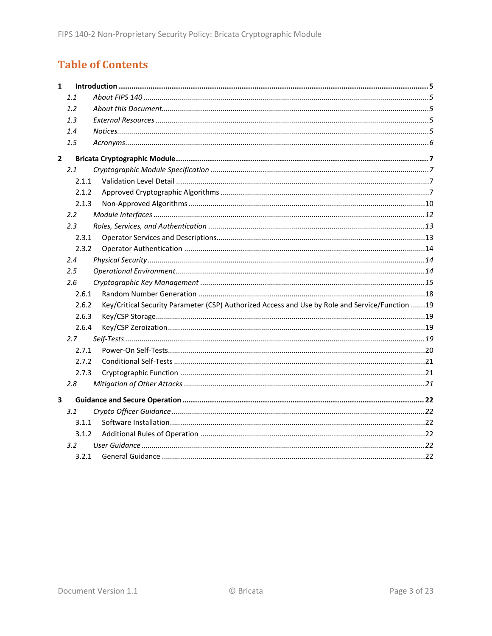# **Table of Contents**

| $\mathbf{1}$   |                  |                                                                                                 |
|----------------|------------------|-------------------------------------------------------------------------------------------------|
|                | 1.1              |                                                                                                 |
|                | 1.2              |                                                                                                 |
|                | 1.3              |                                                                                                 |
|                | 1.4              |                                                                                                 |
|                | 1.5              |                                                                                                 |
| $\overline{2}$ |                  |                                                                                                 |
|                | 2.1              |                                                                                                 |
|                | 2.1.1            |                                                                                                 |
|                | 2.1.2            |                                                                                                 |
|                | 2.1.3            |                                                                                                 |
|                | $2.2^{\circ}$    |                                                                                                 |
|                | 2.3              |                                                                                                 |
|                | 2.3.1            |                                                                                                 |
|                | 2.3.2            |                                                                                                 |
|                | 2.4              |                                                                                                 |
|                | 2.5              |                                                                                                 |
|                | 2.6              |                                                                                                 |
|                | 2.6.1            |                                                                                                 |
|                | 2.6.2            | Key/Critical Security Parameter (CSP) Authorized Access and Use by Role and Service/Function 19 |
|                | 2.6.3            |                                                                                                 |
|                | 2.6.4            |                                                                                                 |
|                | 2.7              |                                                                                                 |
|                | 2.7.1            |                                                                                                 |
|                | 2.7.2            |                                                                                                 |
|                | 2.7.3            |                                                                                                 |
|                | 2.8              |                                                                                                 |
| 3              |                  |                                                                                                 |
|                | 3.1              |                                                                                                 |
|                | 3.1.1            |                                                                                                 |
|                | 3.1.2            |                                                                                                 |
|                | 3.2 <sub>2</sub> |                                                                                                 |
|                | 3.2.1            |                                                                                                 |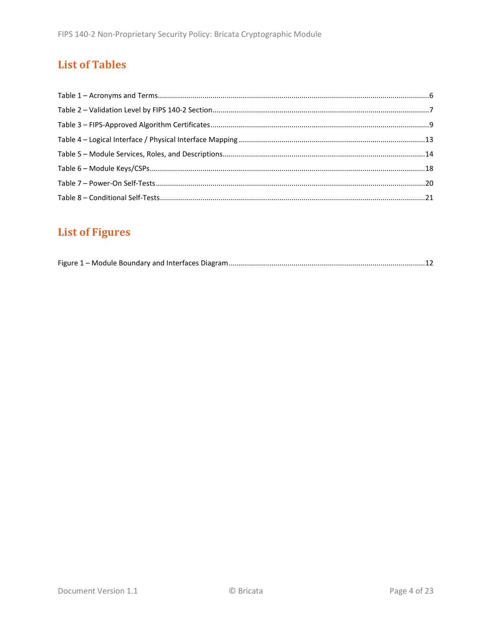# **List of Tables**

# **List of Figures**

|--|--|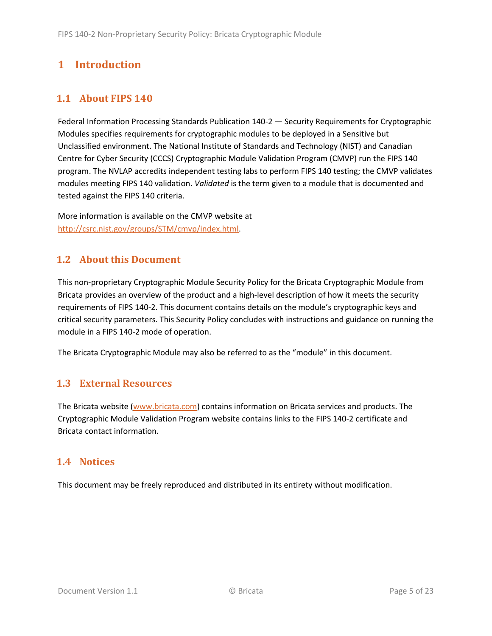# <span id="page-4-0"></span>**1 Introduction**

## <span id="page-4-1"></span>**1.1 About FIPS 140**

Federal Information Processing Standards Publication 140-2 — Security Requirements for Cryptographic Modules specifies requirements for cryptographic modules to be deployed in a Sensitive but Unclassified environment. The National Institute of Standards and Technology (NIST) and Canadian Centre for Cyber Security (CCCS) Cryptographic Module Validation Program (CMVP) run the FIPS 140 program. The NVLAP accredits independent testing labs to perform FIPS 140 testing; the CMVP validates modules meeting FIPS 140 validation. *Validated* is the term given to a module that is documented and tested against the FIPS 140 criteria.

More information is available on the CMVP website at [http://csrc.nist.gov/groups/STM/cmvp/index.html.](http://csrc.nist.gov/groups/STM/cmvp/index.html)

## <span id="page-4-2"></span>**1.2 About this Document**

This non-proprietary Cryptographic Module Security Policy for the Bricata Cryptographic Module from Bricata provides an overview of the product and a high-level description of how it meets the security requirements of FIPS 140-2. This document contains details on the module's cryptographic keys and critical security parameters. This Security Policy concludes with instructions and guidance on running the module in a FIPS 140-2 mode of operation.

The Bricata Cryptographic Module may also be referred to as the "module" in this document.

## <span id="page-4-3"></span>**1.3 External Resources**

The Bricata website [\(www.bricata.com\)](http://www.bricata.com/) contains information on Bricata services and products. The Cryptographic Module Validation Program website contains links to the FIPS 140-2 certificate and Bricata contact information.

### <span id="page-4-4"></span>**1.4 Notices**

This document may be freely reproduced and distributed in its entirety without modification.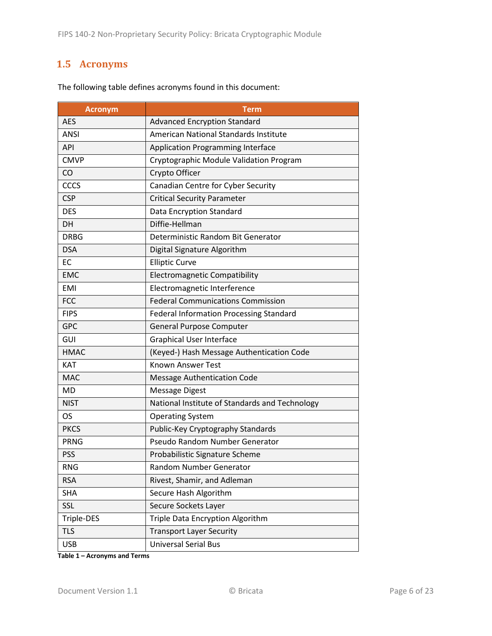# <span id="page-5-0"></span>**1.5 Acronyms**

| <b>Acronym</b> | <b>Term</b>                                    |
|----------------|------------------------------------------------|
| <b>AES</b>     | <b>Advanced Encryption Standard</b>            |
| <b>ANSI</b>    | American National Standards Institute          |
| <b>API</b>     | <b>Application Programming Interface</b>       |
| <b>CMVP</b>    | Cryptographic Module Validation Program        |
| CO             | Crypto Officer                                 |
| <b>CCCS</b>    | Canadian Centre for Cyber Security             |
| <b>CSP</b>     | <b>Critical Security Parameter</b>             |
| <b>DES</b>     | Data Encryption Standard                       |
| DH             | Diffie-Hellman                                 |
| <b>DRBG</b>    | Deterministic Random Bit Generator             |
| <b>DSA</b>     | Digital Signature Algorithm                    |
| EC             | <b>Elliptic Curve</b>                          |
| <b>EMC</b>     | <b>Electromagnetic Compatibility</b>           |
| <b>EMI</b>     | Electromagnetic Interference                   |
| <b>FCC</b>     | <b>Federal Communications Commission</b>       |
| <b>FIPS</b>    | <b>Federal Information Processing Standard</b> |
| <b>GPC</b>     | <b>General Purpose Computer</b>                |
| GUI            | <b>Graphical User Interface</b>                |
| <b>HMAC</b>    | (Keyed-) Hash Message Authentication Code      |
| <b>KAT</b>     | <b>Known Answer Test</b>                       |
| <b>MAC</b>     | <b>Message Authentication Code</b>             |
| <b>MD</b>      | <b>Message Digest</b>                          |
| <b>NIST</b>    | National Institute of Standards and Technology |
| <b>OS</b>      | <b>Operating System</b>                        |
| <b>PKCS</b>    | Public-Key Cryptography Standards              |
| <b>PRNG</b>    | Pseudo Random Number Generator                 |
| <b>PSS</b>     | Probabilistic Signature Scheme                 |
| <b>RNG</b>     | Random Number Generator                        |
| <b>RSA</b>     | Rivest, Shamir, and Adleman                    |
| <b>SHA</b>     | Secure Hash Algorithm                          |
| SSL            | Secure Sockets Layer                           |
| Triple-DES     | Triple Data Encryption Algorithm               |
| <b>TLS</b>     | <b>Transport Layer Security</b>                |
| <b>USB</b>     | <b>Universal Serial Bus</b>                    |

The following table defines acronyms found in this document:

**Table 1 – Acronyms and Terms**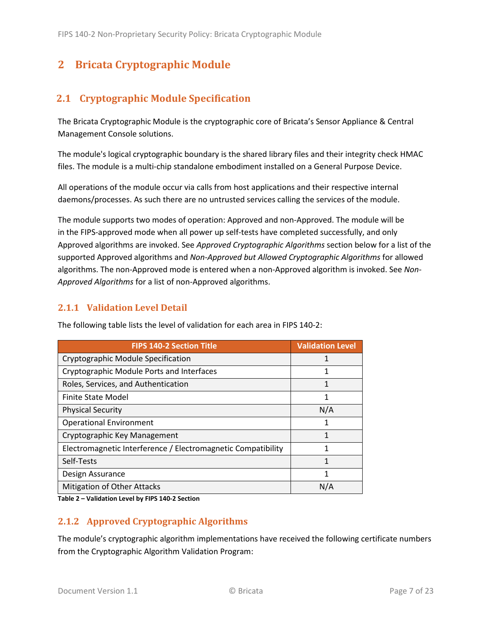# <span id="page-6-0"></span>**2 Bricata Cryptographic Module**

## <span id="page-6-1"></span>**2.1 Cryptographic Module Specification**

The Bricata Cryptographic Module is the cryptographic core of Bricata's Sensor Appliance & Central Management Console solutions.

The module's logical cryptographic boundary is the shared library files and their integrity check HMAC files. The module is a multi-chip standalone embodiment installed on a General Purpose Device.

All operations of the module occur via calls from host applications and their respective internal daemons/processes. As such there are no untrusted services calling the services of the module.

The module supports two modes of operation: Approved and non-Approved. The module will be in the FIPS-approved mode when all power up self-tests have completed successfully, and only Approved algorithms are invoked. See *Approved Cryptographic Algorithms* section below for a list of the supported Approved algorithms and *Non-Approved but Allowed Cryptographic Algorithms* for allowed algorithms. The non-Approved mode is entered when a non-Approved algorithm is invoked. See *Non-Approved Algorithms* for a list of non-Approved algorithms.

### <span id="page-6-2"></span>**2.1.1 Validation Level Detail**

| <b>FIPS 140-2 Section Title</b>                              | <b>Validation Level</b> |
|--------------------------------------------------------------|-------------------------|
| Cryptographic Module Specification                           | 1                       |
| Cryptographic Module Ports and Interfaces                    | 1                       |
| Roles, Services, and Authentication                          | 1                       |
| <b>Finite State Model</b>                                    | 1                       |
| <b>Physical Security</b>                                     | N/A                     |
| <b>Operational Environment</b>                               | 1                       |
| Cryptographic Key Management                                 | 1                       |
| Electromagnetic Interference / Electromagnetic Compatibility | 1                       |
| Self-Tests                                                   | 1                       |
| Design Assurance                                             | 1                       |
| Mitigation of Other Attacks                                  | N/A                     |

The following table lists the level of validation for each area in FIPS 140-2:

**Table 2 – Validation Level by FIPS 140-2 Section**

# <span id="page-6-3"></span>**2.1.2 Approved Cryptographic Algorithms**

The module's cryptographic algorithm implementations have received the following certificate numbers from the Cryptographic Algorithm Validation Program: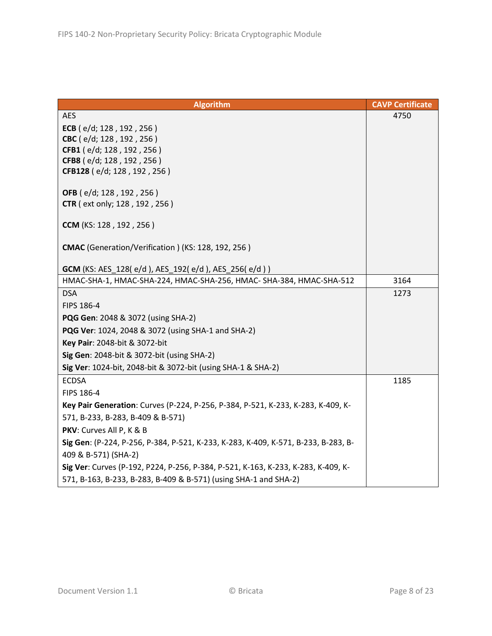| <b>Algorithm</b>                                                                   | <b>CAVP Certificate</b> |
|------------------------------------------------------------------------------------|-------------------------|
| <b>AES</b>                                                                         | 4750                    |
| ECB ( $e/d$ ; 128, 192, 256)                                                       |                         |
| CBC (e/d; 128, 192, 256)                                                           |                         |
| CFB1 (e/d; 128, 192, 256)                                                          |                         |
| CFB8 (e/d; 128, 192, 256)                                                          |                         |
| CFB128 (e/d; 128, 192, 256)                                                        |                         |
| OFB (e/d; 128, 192, 256)                                                           |                         |
| <b>CTR</b> ( ext only; 128, 192, 256)                                              |                         |
|                                                                                    |                         |
| CCM (KS: 128, 192, 256)                                                            |                         |
|                                                                                    |                         |
| CMAC (Generation/Verification) (KS: 128, 192, 256)                                 |                         |
| GCM (KS: AES_128(e/d), AES_192(e/d), AES_256(e/d))                                 |                         |
| HMAC-SHA-1, HMAC-SHA-224, HMAC-SHA-256, HMAC- SHA-384, HMAC-SHA-512                | 3164                    |
| <b>DSA</b>                                                                         | 1273                    |
| FIPS 186-4                                                                         |                         |
| <b>PQG Gen: 2048 &amp; 3072 (using SHA-2)</b>                                      |                         |
| PQG Ver: 1024, 2048 & 3072 (using SHA-1 and SHA-2)                                 |                         |
| Key Pair: 2048-bit & 3072-bit                                                      |                         |
| Sig Gen: 2048-bit & 3072-bit (using SHA-2)                                         |                         |
| Sig Ver: 1024-bit, 2048-bit & 3072-bit (using SHA-1 & SHA-2)                       |                         |
| <b>ECDSA</b>                                                                       | 1185                    |
| FIPS 186-4                                                                         |                         |
| Key Pair Generation: Curves (P-224, P-256, P-384, P-521, K-233, K-283, K-409, K-   |                         |
| 571, B-233, B-283, B-409 & B-571)                                                  |                         |
| PKV: Curves All P, K & B                                                           |                         |
| Sig Gen: (P-224, P-256, P-384, P-521, K-233, K-283, K-409, K-571, B-233, B-283, B- |                         |
| 409 & B-571) (SHA-2)                                                               |                         |
| Sig Ver: Curves (P-192, P224, P-256, P-384, P-521, K-163, K-233, K-283, K-409, K-  |                         |
| 571, B-163, B-233, B-283, B-409 & B-571) (using SHA-1 and SHA-2)                   |                         |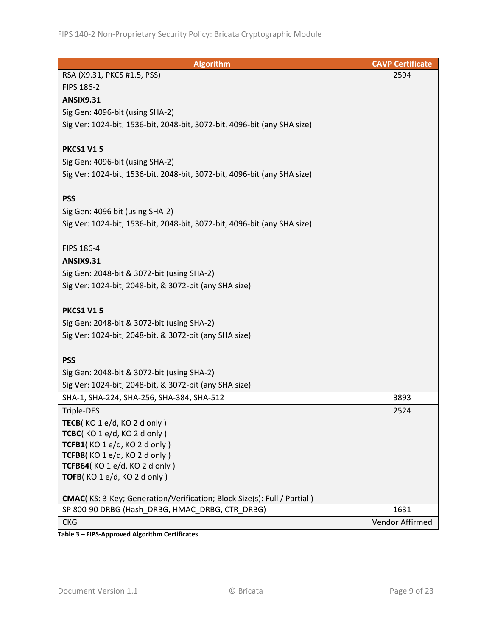| <b>Algorithm</b>                                                         | <b>CAVP Certificate</b> |
|--------------------------------------------------------------------------|-------------------------|
| RSA (X9.31, PKCS #1.5, PSS)                                              | 2594                    |
| FIPS 186-2                                                               |                         |
| <b>ANSIX9.31</b>                                                         |                         |
| Sig Gen: 4096-bit (using SHA-2)                                          |                         |
| Sig Ver: 1024-bit, 1536-bit, 2048-bit, 3072-bit, 4096-bit (any SHA size) |                         |
|                                                                          |                         |
| <b>PKCS1 V15</b>                                                         |                         |
| Sig Gen: 4096-bit (using SHA-2)                                          |                         |
| Sig Ver: 1024-bit, 1536-bit, 2048-bit, 3072-bit, 4096-bit (any SHA size) |                         |
|                                                                          |                         |
| <b>PSS</b>                                                               |                         |
| Sig Gen: 4096 bit (using SHA-2)                                          |                         |
| Sig Ver: 1024-bit, 1536-bit, 2048-bit, 3072-bit, 4096-bit (any SHA size) |                         |
|                                                                          |                         |
| FIPS 186-4                                                               |                         |
| <b>ANSIX9.31</b>                                                         |                         |
| Sig Gen: 2048-bit & 3072-bit (using SHA-2)                               |                         |
| Sig Ver: 1024-bit, 2048-bit, & 3072-bit (any SHA size)                   |                         |
|                                                                          |                         |
| <b>PKCS1 V15</b>                                                         |                         |
| Sig Gen: 2048-bit & 3072-bit (using SHA-2)                               |                         |
| Sig Ver: 1024-bit, 2048-bit, & 3072-bit (any SHA size)                   |                         |
|                                                                          |                         |
| <b>PSS</b>                                                               |                         |
| Sig Gen: 2048-bit & 3072-bit (using SHA-2)                               |                         |
| Sig Ver: 1024-bit, 2048-bit, & 3072-bit (any SHA size)                   |                         |
| SHA-1, SHA-224, SHA-256, SHA-384, SHA-512                                | 3893                    |
| Triple-DES                                                               | 2524                    |
| TECB(KO 1 e/d, KO 2 d only)                                              |                         |
| TCBC(KO1e/d, KO2donly)                                                   |                         |
| TCFB1(KO1e/d, KO2donly)                                                  |                         |
| TCFB8(KO1e/d, KO2donly)                                                  |                         |
| TCFB64(KO 1 e/d, KO 2 d only)                                            |                         |
| TOFB(KO1e/d, KO2donly)                                                   |                         |
|                                                                          |                         |
| CMAC(KS: 3-Key; Generation/Verification; Block Size(s): Full / Partial ) |                         |
| SP 800-90 DRBG (Hash DRBG, HMAC DRBG, CTR DRBG)                          | 1631                    |
| <b>CKG</b>                                                               | Vendor Affirmed         |

**Table 3 – FIPS-Approved Algorithm Certificates**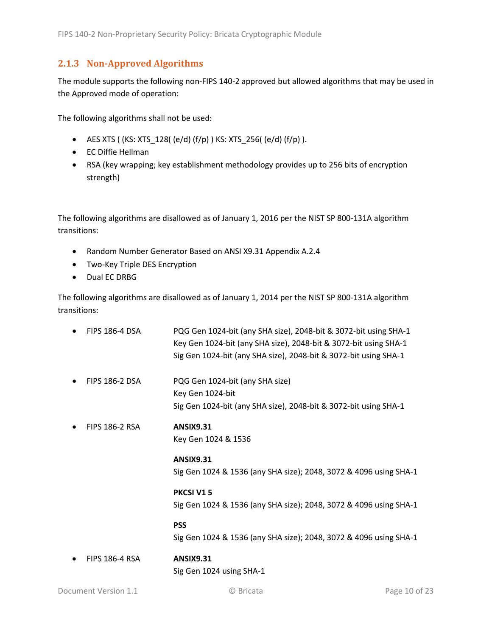### <span id="page-9-0"></span>**2.1.3 Non-Approved Algorithms**

The module supports the following non-FIPS 140-2 approved but allowed algorithms that may be used in the Approved mode of operation:

The following algorithms shall not be used:

- AES XTS (  $(KS: XTS_128$  (  $(e/d)$   $(f/p)$  )  $KS: XTS_256$  ( $(e/d)$   $(f/p)$  ).
- EC Diffie Hellman
- RSA (key wrapping; key establishment methodology provides up to 256 bits of encryption strength)

The following algorithms are disallowed as of January 1, 2016 per the NIST SP 800-131A algorithm transitions:

- Random Number Generator Based on ANSI X9.31 Appendix A.2.4
- Two-Key Triple DES Encryption
- Dual EC DRBG

The following algorithms are disallowed as of January 1, 2014 per the NIST SP 800-131A algorithm transitions:

| <b>FIPS 186-4 DSA</b> | PQG Gen 1024-bit (any SHA size), 2048-bit & 3072-bit using SHA-1<br>Key Gen 1024-bit (any SHA size), 2048-bit & 3072-bit using SHA-1<br>Sig Gen 1024-bit (any SHA size), 2048-bit & 3072-bit using SHA-1 |
|-----------------------|----------------------------------------------------------------------------------------------------------------------------------------------------------------------------------------------------------|
| <b>FIPS 186-2 DSA</b> | PQG Gen 1024-bit (any SHA size)<br>Key Gen 1024-bit<br>Sig Gen 1024-bit (any SHA size), 2048-bit & 3072-bit using SHA-1                                                                                  |
| <b>FIPS 186-2 RSA</b> | <b>ANSIX9.31</b><br>Key Gen 1024 & 1536                                                                                                                                                                  |
|                       | <b>ANSIX9.31</b><br>Sig Gen 1024 & 1536 (any SHA size); 2048, 3072 & 4096 using SHA-1                                                                                                                    |
|                       | <b>PKCSI V15</b><br>Sig Gen 1024 & 1536 (any SHA size); 2048, 3072 & 4096 using SHA-1                                                                                                                    |
|                       | <b>PSS</b><br>Sig Gen 1024 & 1536 (any SHA size); 2048, 3072 & 4096 using SHA-1                                                                                                                          |
| <b>FIPS 186-4 RSA</b> | <b>ANSIX9.31</b><br>Sig Gen 1024 using SHA-1                                                                                                                                                             |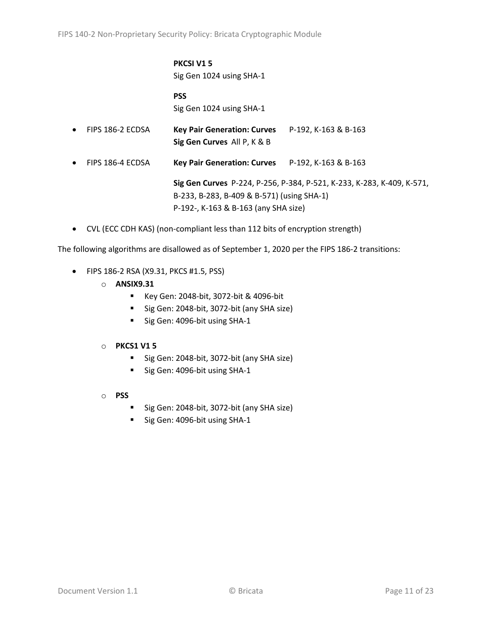# **PKCSI V1 5**

Sig Gen 1024 using SHA-1

#### **PSS** Sig Gen 1024 using SHA-1

- FIPS 186-2 ECDSA **Key Pair Generation: Curves** P-192, K-163 & B-163 **Sig Gen Curves** All P, K & B
- FIPS 186-4 ECDSA **Key Pair Generation: Curves** P-192, K-163 & B-163

**Sig Gen Curves** P-224, P-256, P-384, P-521, K-233, K-283, K-409, K-571, B-233, B-283, B-409 & B-571) (using SHA-1) P-192-, K-163 & B-163 (any SHA size)

• CVL (ECC CDH KAS) (non-compliant less than 112 bits of encryption strength)

The following algorithms are disallowed as of September 1, 2020 per the FIPS 186-2 transitions:

- FIPS 186-2 RSA (X9.31, PKCS #1.5, PSS)
	- o **ANSIX9.31**
		- Key Gen: 2048-bit, 3072-bit & 4096-bit
		- Sig Gen: 2048-bit, 3072-bit (any SHA size)
		- Sig Gen: 4096-bit using SHA-1

#### o **PKCS1 V1 5**

- Sig Gen: 2048-bit, 3072-bit (any SHA size)
- Sig Gen: 4096-bit using SHA-1
- o **PSS**
	- Sig Gen: 2048-bit, 3072-bit (any SHA size)
	- Sig Gen: 4096-bit using SHA-1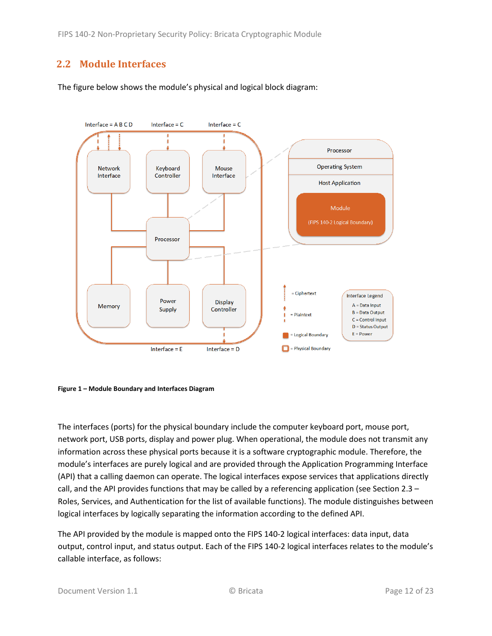## <span id="page-11-0"></span>**2.2 Module Interfaces**

The figure below shows the module's physical and logical block diagram:



<span id="page-11-1"></span>

The interfaces (ports) for the physical boundary include the computer keyboard port, mouse port, network port, USB ports, display and power plug. When operational, the module does not transmit any information across these physical ports because it is a software cryptographic module. Therefore, the module's interfaces are purely logical and are provided through the Application Programming Interface (API) that a calling daemon can operate. The logical interfaces expose services that applications directly call, and the API provides functions that may be called by a referencing application (see Sectio[n 2.3](#page-12-0) – [Roles, Services, and Authentication](#page-12-0) for the list of available functions). The module distinguishes between logical interfaces by logically separating the information according to the defined API.

The API provided by the module is mapped onto the FIPS 140-2 logical interfaces: data input, data output, control input, and status output. Each of the FIPS 140-2 logical interfaces relates to the module's callable interface, as follows: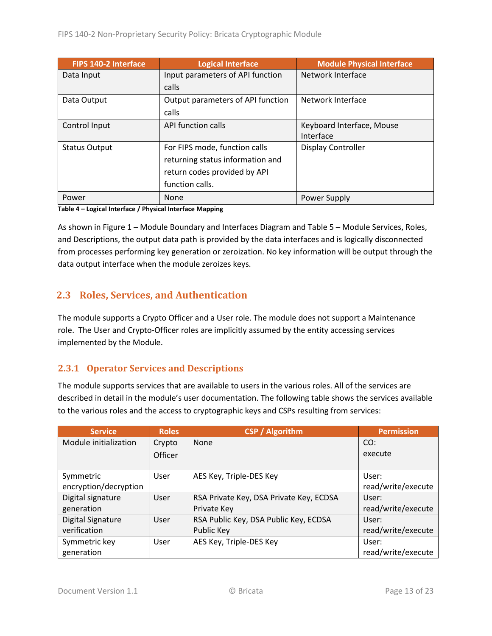| <b>FIPS 140-2 Interface</b> | Logical Interface                 | <b>Module Physical Interface</b> |
|-----------------------------|-----------------------------------|----------------------------------|
| Data Input                  | Input parameters of API function  | Network Interface                |
|                             | calls                             |                                  |
| Data Output                 | Output parameters of API function | Network Interface                |
|                             | calls                             |                                  |
| Control Input               | API function calls                | Keyboard Interface, Mouse        |
|                             |                                   | Interface                        |
| <b>Status Output</b>        | For FIPS mode, function calls     | Display Controller               |
|                             | returning status information and  |                                  |
|                             | return codes provided by API      |                                  |
|                             | function calls.                   |                                  |
| Power                       | <b>None</b>                       | Power Supply                     |

**Table 4 – Logical Interface / Physical Interface Mapping**

As shown in Figure 1 – [Module Boundary and Interfaces Diagram](#page-11-1) and Table 5 – Module [Services, Roles,](#page-13-3) [and Descriptions,](#page-13-3) the output data path is provided by the data interfaces and is logically disconnected from processes performing key generation or zeroization. No key information will be output through the data output interface when the module zeroizes keys.

## <span id="page-12-0"></span>**2.3 Roles, Services, and Authentication**

The module supports a Crypto Officer and a User role. The module does not support a Maintenance role. The User and Crypto-Officer roles are implicitly assumed by the entity accessing services implemented by the Module.

#### <span id="page-12-1"></span>**2.3.1 Operator Services and Descriptions**

The module supports services that are available to users in the various roles. All of the services are described in detail in the module's user documentation. The following table shows the services available to the various roles and the access to cryptographic keys and CSPs resulting from services:

| <b>Service</b>           | <b>Roles</b>   | <b>CSP / Algorithm</b>                  | <b>Permission</b>  |
|--------------------------|----------------|-----------------------------------------|--------------------|
| Module initialization    | Crypto         | None                                    | CO:                |
|                          | <b>Officer</b> |                                         | execute            |
|                          |                |                                         |                    |
| Symmetric                | User           | AES Key, Triple-DES Key                 | User:              |
| encryption/decryption    |                |                                         | read/write/execute |
| Digital signature        | User           | RSA Private Key, DSA Private Key, ECDSA | User:              |
| generation               |                | Private Key                             | read/write/execute |
| <b>Digital Signature</b> | User           | RSA Public Key, DSA Public Key, ECDSA   | User:              |
| verification             |                | Public Key                              | read/write/execute |
| Symmetric key            | User           | AES Key, Triple-DES Key                 | User:              |
| generation               |                |                                         | read/write/execute |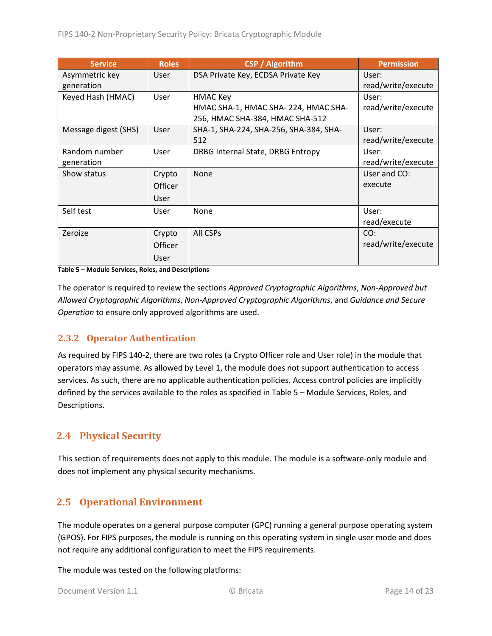| <b>Service</b>       | <b>Roles</b>   | <b>CSP</b> / Algorithm                 | <b>Permission</b>  |
|----------------------|----------------|----------------------------------------|--------------------|
| Asymmetric key       | <b>User</b>    | DSA Private Key, ECDSA Private Key     | User:              |
| generation           |                |                                        | read/write/execute |
| Keyed Hash (HMAC)    | User           | <b>HMAC Key</b>                        | User:              |
|                      |                | HMAC SHA-1, HMAC SHA-224, HMAC SHA-    | read/write/execute |
|                      |                | 256, HMAC SHA-384, HMAC SHA-512        |                    |
| Message digest (SHS) | <b>User</b>    | SHA-1, SHA-224, SHA-256, SHA-384, SHA- | User:              |
|                      |                | 512                                    | read/write/execute |
| Random number        | User           | DRBG Internal State, DRBG Entropy      | User:              |
| generation           |                |                                        | read/write/execute |
| Show status          | Crypto         | <b>None</b>                            | User and CO:       |
|                      | <b>Officer</b> |                                        | execute            |
|                      | User           |                                        |                    |
| Self test            | <b>User</b>    | None                                   | User:              |
|                      |                |                                        | read/execute       |
| Zeroize              | Crypto         | All CSPs                               | CO:                |
|                      | <b>Officer</b> |                                        | read/write/execute |
|                      | User           |                                        |                    |

<span id="page-13-3"></span>**Table 5 – Module Services, Roles, and Descriptions**

The operator is required to review the sections *Approved Cryptographic Algorithms*, *Non-Approved but Allowed Cryptographic Algorithms*, *Non-Approved Cryptographic Algorithms*, and *Guidance and Secure Operation* to ensure only approved algorithms are used.

#### <span id="page-13-0"></span>**2.3.2 Operator Authentication**

As required by FIPS 140-2, there are two roles (a Crypto Officer role and User role) in the module that operators may assume. As allowed by Level 1, the module does not support authentication to access services. As such, there are no applicable authentication policies. Access control policies are implicitly defined by the services available to the roles as specified in Table 5 – Module [Services, Roles,](#page-13-3) and [Descriptions.](#page-13-3)

## <span id="page-13-1"></span>**2.4 Physical Security**

This section of requirements does not apply to this module. The module is a software-only module and does not implement any physical security mechanisms.

## <span id="page-13-2"></span>**2.5 Operational Environment**

The module operates on a general purpose computer (GPC) running a general purpose operating system (GPOS). For FIPS purposes, the module is running on this operating system in single user mode and does not require any additional configuration to meet the FIPS requirements.

The module was tested on the following platforms: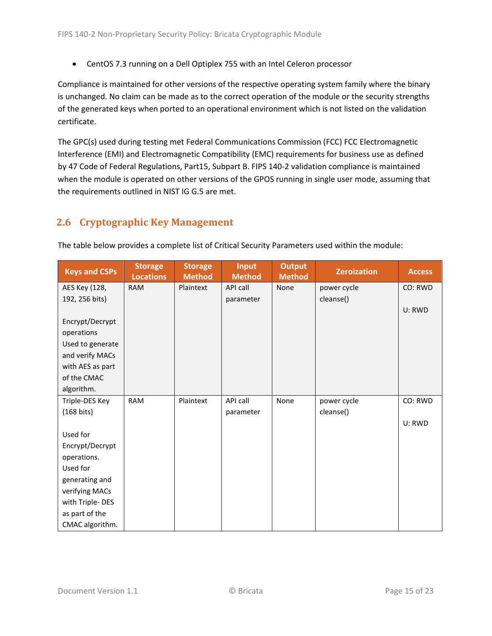• CentOS 7.3 running on a Dell Optiplex 755 with an Intel Celeron processor

Compliance is maintained for other versions of the respective operating system family where the binary is unchanged. No claim can be made as to the correct operation of the module or the security strengths of the generated keys when ported to an operational environment which is not listed on the validation certificate.

The GPC(s) used during testing met Federal Communications Commission (FCC) FCC Electromagnetic Interference (EMI) and Electromagnetic Compatibility (EMC) requirements for business use as defined by 47 Code of Federal Regulations, Part15, Subpart B. FIPS 140-2 validation compliance is maintained when the module is operated on other versions of the GPOS running in single user mode, assuming that the requirements outlined in NIST IG G.5 are met.

## <span id="page-14-0"></span>**2.6 Cryptographic Key Management**

| <b>Keys and CSPs</b> | <b>Storage</b><br><b>Locations</b> | <b>Storage</b><br><b>Method</b> | <b>Input</b><br><b>Method</b> | <b>Output</b><br><b>Method</b> | <b>Zeroization</b> | <b>Access</b> |
|----------------------|------------------------------------|---------------------------------|-------------------------------|--------------------------------|--------------------|---------------|
| AES Key (128,        | <b>RAM</b>                         | Plaintext                       | API call                      | None                           | power cycle        | CO: RWD       |
| 192, 256 bits)       |                                    |                                 | parameter                     |                                | cleanse()          |               |
|                      |                                    |                                 |                               |                                |                    | U: RWD        |
| Encrypt/Decrypt      |                                    |                                 |                               |                                |                    |               |
| operations           |                                    |                                 |                               |                                |                    |               |
| Used to generate     |                                    |                                 |                               |                                |                    |               |
| and verify MACs      |                                    |                                 |                               |                                |                    |               |
| with AES as part     |                                    |                                 |                               |                                |                    |               |
| of the CMAC          |                                    |                                 |                               |                                |                    |               |
| algorithm.           |                                    |                                 |                               |                                |                    |               |
| Triple-DES Key       | <b>RAM</b>                         | Plaintext                       | API call                      | None                           | power cycle        | CO: RWD       |
| $(168 \text{ bits})$ |                                    |                                 | parameter                     |                                | cleanse()          |               |
|                      |                                    |                                 |                               |                                |                    | U: RWD        |
| Used for             |                                    |                                 |                               |                                |                    |               |
| Encrypt/Decrypt      |                                    |                                 |                               |                                |                    |               |
| operations.          |                                    |                                 |                               |                                |                    |               |
| Used for             |                                    |                                 |                               |                                |                    |               |
| generating and       |                                    |                                 |                               |                                |                    |               |
| verifying MACs       |                                    |                                 |                               |                                |                    |               |
| with Triple-DES      |                                    |                                 |                               |                                |                    |               |
| as part of the       |                                    |                                 |                               |                                |                    |               |
| CMAC algorithm.      |                                    |                                 |                               |                                |                    |               |

The table below provides a complete list of Critical Security Parameters used within the module: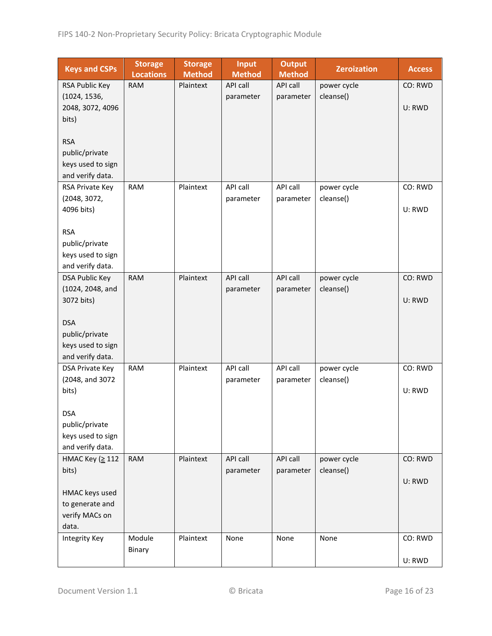| <b>Keys and CSPs</b>                  | <b>Storage</b><br><b>Locations</b> | <b>Storage</b><br><b>Method</b> | <b>Input</b><br><b>Method</b> | <b>Output</b><br><b>Method</b> | <b>Zeroization</b> | <b>Access</b> |
|---------------------------------------|------------------------------------|---------------------------------|-------------------------------|--------------------------------|--------------------|---------------|
| RSA Public Key                        | <b>RAM</b>                         | Plaintext                       | API call                      | API call                       | power cycle        | CO: RWD       |
| (1024, 1536,                          |                                    |                                 | parameter                     | parameter                      | cleanse()          |               |
| 2048, 3072, 4096                      |                                    |                                 |                               |                                |                    | U: RWD        |
| bits)                                 |                                    |                                 |                               |                                |                    |               |
|                                       |                                    |                                 |                               |                                |                    |               |
| <b>RSA</b>                            |                                    |                                 |                               |                                |                    |               |
| public/private                        |                                    |                                 |                               |                                |                    |               |
| keys used to sign<br>and verify data. |                                    |                                 |                               |                                |                    |               |
| RSA Private Key                       | <b>RAM</b>                         | Plaintext                       | API call                      | API call                       | power cycle        | CO: RWD       |
| (2048, 3072,                          |                                    |                                 | parameter                     | parameter                      | cleanse()          |               |
| 4096 bits)                            |                                    |                                 |                               |                                |                    | U: RWD        |
|                                       |                                    |                                 |                               |                                |                    |               |
| <b>RSA</b>                            |                                    |                                 |                               |                                |                    |               |
| public/private                        |                                    |                                 |                               |                                |                    |               |
| keys used to sign                     |                                    |                                 |                               |                                |                    |               |
| and verify data.                      |                                    |                                 |                               |                                |                    |               |
| <b>DSA Public Key</b>                 | <b>RAM</b>                         | Plaintext                       | API call                      | API call                       | power cycle        | CO: RWD       |
| (1024, 2048, and                      |                                    |                                 | parameter                     | parameter                      | cleanse()          |               |
| 3072 bits)                            |                                    |                                 |                               |                                |                    | U: RWD        |
| <b>DSA</b>                            |                                    |                                 |                               |                                |                    |               |
| public/private                        |                                    |                                 |                               |                                |                    |               |
| keys used to sign                     |                                    |                                 |                               |                                |                    |               |
| and verify data.                      |                                    |                                 |                               |                                |                    |               |
| DSA Private Key                       | <b>RAM</b>                         | Plaintext                       | API call                      | API call                       | power cycle        | CO: RWD       |
| (2048, and 3072                       |                                    |                                 | parameter                     | parameter                      | cleanse()          |               |
| bits)                                 |                                    |                                 |                               |                                |                    | U: RWD        |
|                                       |                                    |                                 |                               |                                |                    |               |
| <b>DSA</b>                            |                                    |                                 |                               |                                |                    |               |
| public/private<br>keys used to sign   |                                    |                                 |                               |                                |                    |               |
| and verify data.                      |                                    |                                 |                               |                                |                    |               |
| HMAC Key (≥ 112                       | <b>RAM</b>                         | Plaintext                       | API call                      | API call                       | power cycle        | CO: RWD       |
| bits)                                 |                                    |                                 | parameter                     | parameter                      | cleanse()          |               |
|                                       |                                    |                                 |                               |                                |                    | U: RWD        |
| HMAC keys used                        |                                    |                                 |                               |                                |                    |               |
| to generate and                       |                                    |                                 |                               |                                |                    |               |
| verify MACs on                        |                                    |                                 |                               |                                |                    |               |
| data.                                 |                                    |                                 |                               |                                |                    |               |
| Integrity Key                         | Module                             | Plaintext                       | None                          | None                           | None               | CO: RWD       |
|                                       | Binary                             |                                 |                               |                                |                    |               |
|                                       |                                    |                                 |                               |                                |                    | U: RWD        |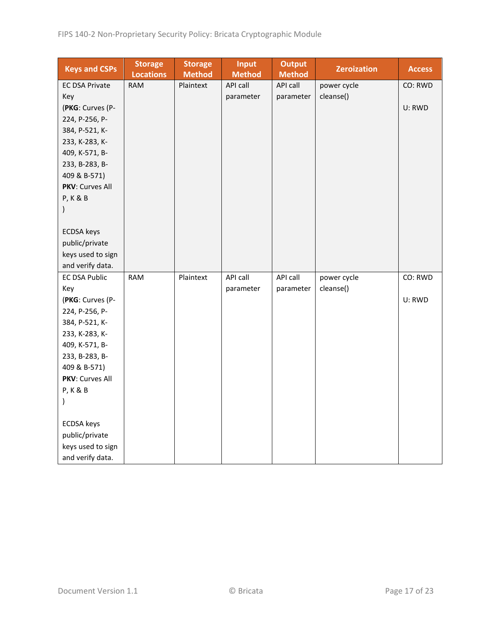| <b>Keys and CSPs</b>  | <b>Storage</b><br><b>Locations</b> | <b>Storage</b><br><b>Method</b> | <b>Input</b><br><b>Method</b> | <b>Output</b><br><b>Method</b> | <b>Zeroization</b> | <b>Access</b> |
|-----------------------|------------------------------------|---------------------------------|-------------------------------|--------------------------------|--------------------|---------------|
| <b>EC DSA Private</b> | <b>RAM</b>                         | Plaintext                       | API call                      | API call                       | power cycle        | CO: RWD       |
| Key                   |                                    |                                 | parameter                     | parameter                      | cleanse()          |               |
| (PKG: Curves (P-      |                                    |                                 |                               |                                |                    | U: RWD        |
| 224, P-256, P-        |                                    |                                 |                               |                                |                    |               |
| 384, P-521, K-        |                                    |                                 |                               |                                |                    |               |
| 233, K-283, K-        |                                    |                                 |                               |                                |                    |               |
| 409, K-571, B-        |                                    |                                 |                               |                                |                    |               |
| 233, B-283, B-        |                                    |                                 |                               |                                |                    |               |
| 409 & B-571)          |                                    |                                 |                               |                                |                    |               |
| PKV: Curves All       |                                    |                                 |                               |                                |                    |               |
| <b>P, K &amp; B</b>   |                                    |                                 |                               |                                |                    |               |
| $\mathcal{E}$         |                                    |                                 |                               |                                |                    |               |
|                       |                                    |                                 |                               |                                |                    |               |
| <b>ECDSA</b> keys     |                                    |                                 |                               |                                |                    |               |
| public/private        |                                    |                                 |                               |                                |                    |               |
| keys used to sign     |                                    |                                 |                               |                                |                    |               |
| and verify data.      |                                    |                                 |                               |                                |                    |               |
| <b>EC DSA Public</b>  | <b>RAM</b>                         | Plaintext                       | API call                      | API call                       | power cycle        | CO: RWD       |
| Key                   |                                    |                                 | parameter                     | parameter                      | cleanse()          |               |
| (PKG: Curves (P-      |                                    |                                 |                               |                                |                    | U: RWD        |
| 224, P-256, P-        |                                    |                                 |                               |                                |                    |               |
| 384, P-521, K-        |                                    |                                 |                               |                                |                    |               |
| 233, K-283, K-        |                                    |                                 |                               |                                |                    |               |
| 409, K-571, B-        |                                    |                                 |                               |                                |                    |               |
| 233, B-283, B-        |                                    |                                 |                               |                                |                    |               |
| 409 & B-571)          |                                    |                                 |                               |                                |                    |               |
| PKV: Curves All       |                                    |                                 |                               |                                |                    |               |
| <b>P, K &amp; B</b>   |                                    |                                 |                               |                                |                    |               |
| $\lambda$             |                                    |                                 |                               |                                |                    |               |
|                       |                                    |                                 |                               |                                |                    |               |
| <b>ECDSA</b> keys     |                                    |                                 |                               |                                |                    |               |
| public/private        |                                    |                                 |                               |                                |                    |               |
| keys used to sign     |                                    |                                 |                               |                                |                    |               |
| and verify data.      |                                    |                                 |                               |                                |                    |               |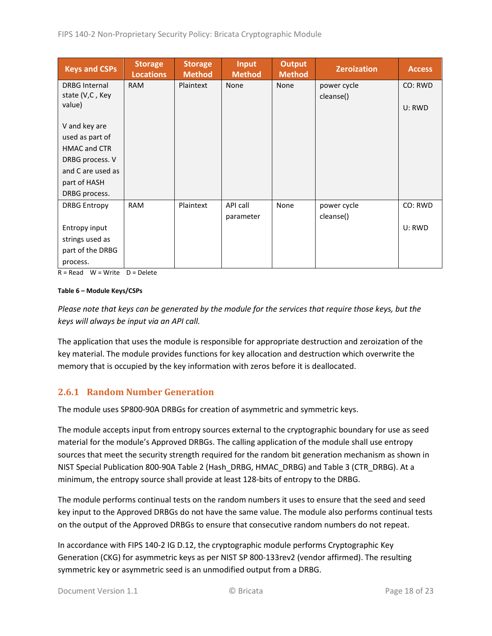| <b>Keys and CSPs</b> | <b>Storage</b><br><b>Locations</b> | <b>Storage</b><br><b>Method</b> | <b>Input</b><br><b>Method</b> | <b>Output</b><br><b>Method</b> | <b>Zeroization</b> | <b>Access</b> |
|----------------------|------------------------------------|---------------------------------|-------------------------------|--------------------------------|--------------------|---------------|
| <b>DRBG Internal</b> | <b>RAM</b>                         | Plaintext                       | None                          | None                           | power cycle        | CO: RWD       |
| state (V,C, Key      |                                    |                                 |                               |                                | cleanse()          |               |
| value)               |                                    |                                 |                               |                                |                    | U: RWD        |
|                      |                                    |                                 |                               |                                |                    |               |
| V and key are        |                                    |                                 |                               |                                |                    |               |
| used as part of      |                                    |                                 |                               |                                |                    |               |
| <b>HMAC and CTR</b>  |                                    |                                 |                               |                                |                    |               |
| DRBG process. V      |                                    |                                 |                               |                                |                    |               |
| and C are used as    |                                    |                                 |                               |                                |                    |               |
| part of HASH         |                                    |                                 |                               |                                |                    |               |
| DRBG process.        |                                    |                                 |                               |                                |                    |               |
| <b>DRBG Entropy</b>  | <b>RAM</b>                         | Plaintext                       | API call                      | None                           | power cycle        | CO: RWD       |
|                      |                                    |                                 | parameter                     |                                | cleanse()          |               |
| Entropy input        |                                    |                                 |                               |                                |                    | U: RWD        |
| strings used as      |                                    |                                 |                               |                                |                    |               |
| part of the DRBG     |                                    |                                 |                               |                                |                    |               |
| process.             |                                    |                                 |                               |                                |                    |               |

 $R = Read$  W = Write D = Delete

#### **Table 6 – Module Keys/CSPs**

*Please note that keys can be generated by the module for the services that require those keys, but the keys will always be input via an API call.*

The application that uses the module is responsible for appropriate destruction and zeroization of the key material. The module provides functions for key allocation and destruction which overwrite the memory that is occupied by the key information with zeros before it is deallocated.

#### <span id="page-17-0"></span>**2.6.1 Random Number Generation**

The module uses SP800-90A DRBGs for creation of asymmetric and symmetric keys.

The module accepts input from entropy sources external to the cryptographic boundary for use as seed material for the module's Approved DRBGs. The calling application of the module shall use entropy sources that meet the security strength required for the random bit generation mechanism as shown in NIST Special Publication 800-90A Table 2 (Hash\_DRBG, HMAC\_DRBG) and Table 3 (CTR\_DRBG). At a minimum, the entropy source shall provide at least 128-bits of entropy to the DRBG.

The module performs continual tests on the random numbers it uses to ensure that the seed and seed key input to the Approved DRBGs do not have the same value. The module also performs continual tests on the output of the Approved DRBGs to ensure that consecutive random numbers do not repeat.

In accordance with FIPS 140-2 IG D.12, the cryptographic module performs Cryptographic Key Generation (CKG) for asymmetric keys as per NIST SP 800-133rev2 (vendor affirmed). The resulting symmetric key or asymmetric seed is an unmodified output from a DRBG.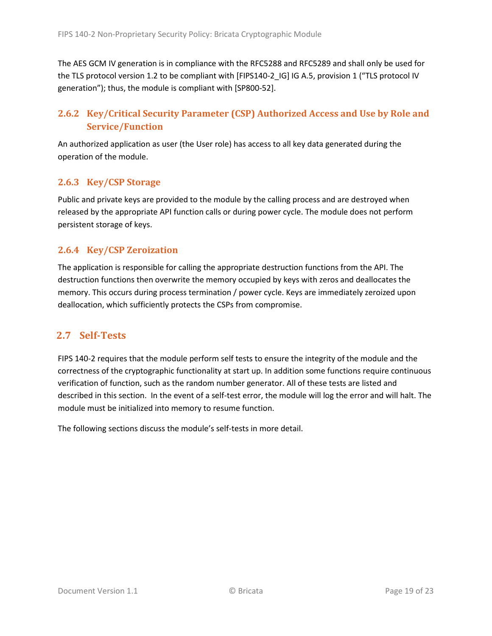The AES GCM IV generation is in compliance with the RFC5288 and RFC5289 and shall only be used for the TLS protocol version 1.2 to be compliant with [FIPS140-2 IG] IG A.5, provision 1 ("TLS protocol IV generation"); thus, the module is compliant with [SP800-52].

## <span id="page-18-0"></span>**2.6.2 Key/Critical Security Parameter (CSP) Authorized Access and Use by Role and Service/Function**

An authorized application as user (the User role) has access to all key data generated during the operation of the module.

### <span id="page-18-1"></span>**2.6.3 Key/CSP Storage**

Public and private keys are provided to the module by the calling process and are destroyed when released by the appropriate API function calls or during power cycle. The module does not perform persistent storage of keys.

### <span id="page-18-2"></span>**2.6.4 Key/CSP Zeroization**

The application is responsible for calling the appropriate destruction functions from the API. The destruction functions then overwrite the memory occupied by keys with zeros and deallocates the memory. This occurs during process termination / power cycle. Keys are immediately zeroized upon deallocation, which sufficiently protects the CSPs from compromise.

### <span id="page-18-3"></span>**2.7 Self-Tests**

FIPS 140-2 requires that the module perform self tests to ensure the integrity of the module and the correctness of the cryptographic functionality at start up. In addition some functions require continuous verification of function, such as the random number generator. All of these tests are listed and described in this section. In the event of a self-test error, the module will log the error and will halt. The module must be initialized into memory to resume function.

The following sections discuss the module's self-tests in more detail.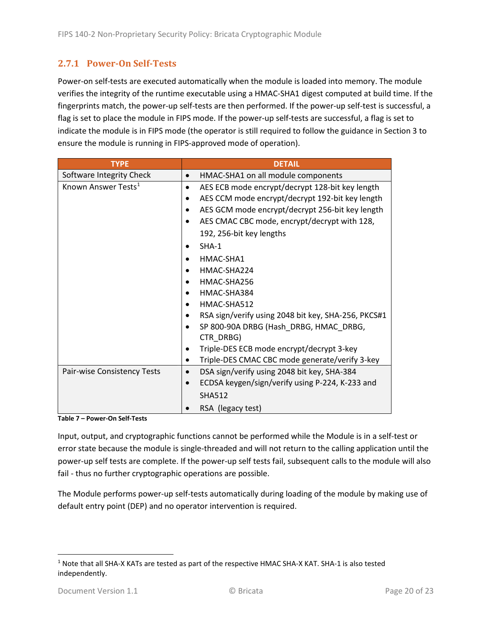### <span id="page-19-0"></span>**2.7.1 Power-On Self-Tests**

Power-on self-tests are executed automatically when the module is loaded into memory. The module verifies the integrity of the runtime executable using a HMAC-SHA1 digest computed at build time. If the fingerprints match, the power-up self-tests are then performed. If the power-up self-test is successful, a flag is set to place the module in FIPS mode. If the power-up self-tests are successful, a flag is set to indicate the module is in FIPS mode (the operator is still required to follow the guidance in Section 3 to ensure the module is running in FIPS-approved mode of operation).

| <b>TYPE</b>                     | <b>DETAIL</b>                                                |  |  |
|---------------------------------|--------------------------------------------------------------|--|--|
| Software Integrity Check        | HMAC-SHA1 on all module components                           |  |  |
| Known Answer Tests <sup>1</sup> | AES ECB mode encrypt/decrypt 128-bit key length<br>$\bullet$ |  |  |
|                                 | AES CCM mode encrypt/decrypt 192-bit key length              |  |  |
|                                 | AES GCM mode encrypt/decrypt 256-bit key length              |  |  |
|                                 | AES CMAC CBC mode, encrypt/decrypt with 128,                 |  |  |
|                                 | 192, 256-bit key lengths                                     |  |  |
|                                 | $SHA-1$                                                      |  |  |
|                                 | HMAC-SHA1                                                    |  |  |
|                                 | HMAC-SHA224                                                  |  |  |
|                                 | HMAC-SHA256                                                  |  |  |
|                                 | HMAC-SHA384                                                  |  |  |
|                                 | HMAC-SHA512                                                  |  |  |
|                                 | RSA sign/verify using 2048 bit key, SHA-256, PKCS#1          |  |  |
|                                 | SP 800-90A DRBG (Hash DRBG, HMAC DRBG,                       |  |  |
|                                 | CTR_DRBG)                                                    |  |  |
|                                 | Triple-DES ECB mode encrypt/decrypt 3-key                    |  |  |
|                                 | Triple-DES CMAC CBC mode generate/verify 3-key               |  |  |
| Pair-wise Consistency Tests     | DSA sign/verify using 2048 bit key, SHA-384                  |  |  |
|                                 | ECDSA keygen/sign/verify using P-224, K-233 and              |  |  |
|                                 | <b>SHA512</b>                                                |  |  |
|                                 | RSA (legacy test)                                            |  |  |

**Table 7 – Power-On Self-Tests**

Input, output, and cryptographic functions cannot be performed while the Module is in a self-test or error state because the module is single-threaded and will not return to the calling application until the power-up self tests are complete. If the power-up self tests fail, subsequent calls to the module will also fail - thus no further cryptographic operations are possible.

The Module performs power-up self-tests automatically during loading of the module by making use of default entry point (DEP) and no operator intervention is required.

<span id="page-19-1"></span><sup>1</sup> Note that all SHA-X KATs are tested as part of the respective HMAC SHA-X KAT. SHA-1 is also tested independently.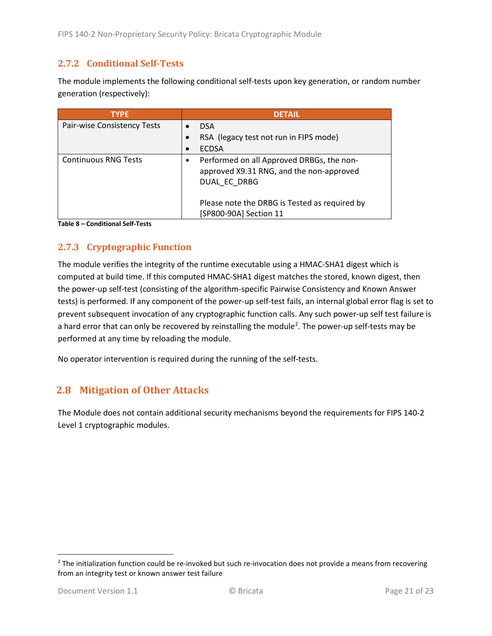### <span id="page-20-0"></span>**2.7.2 Conditional Self-Tests**

The module implements the following conditional self-tests upon key generation, or random number generation (respectively):

| <b>TYPE</b>                 | <b>DETAIL</b>                                                                                                      |
|-----------------------------|--------------------------------------------------------------------------------------------------------------------|
| Pair-wise Consistency Tests | <b>DSA</b>                                                                                                         |
|                             | RSA (legacy test not run in FIPS mode)                                                                             |
|                             | <b>ECDSA</b>                                                                                                       |
| <b>Continuous RNG Tests</b> | Performed on all Approved DRBGs, the non-<br>$\bullet$<br>approved X9.31 RNG, and the non-approved<br>DUAL EC DRBG |
|                             | Please note the DRBG is Tested as required by<br>[SP800-90A] Section 11                                            |

**Table 8 – Conditional Self-Tests**

### <span id="page-20-1"></span>**2.7.3 Cryptographic Function**

The module verifies the integrity of the runtime executable using a HMAC-SHA1 digest which is computed at build time. If this computed HMAC-SHA1 digest matches the stored, known digest, then the power-up self-test (consisting of the algorithm-specific Pairwise Consistency and Known Answer tests) is performed. If any component of the power-up self-test fails, an internal global error flag is set to prevent subsequent invocation of any cryptographic function calls. Any such power-up self test failure is a hard error that can only be recovered by reinstalling the module<sup>[2](#page-20-3)</sup>. The power-up self-tests may be performed at any time by reloading the module.

No operator intervention is required during the running of the self-tests.

### <span id="page-20-2"></span>**2.8 Mitigation of Other Attacks**

The Module does not contain additional security mechanisms beyond the requirements for FIPS 140-2 Level 1 cryptographic modules.

<span id="page-20-3"></span> $2$  The initialization function could be re-invoked but such re-invocation does not provide a means from recovering from an integrity test or known answer test failure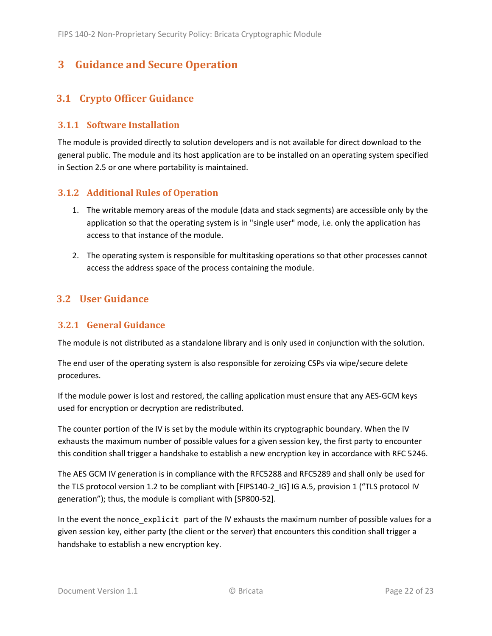# <span id="page-21-0"></span>**3 Guidance and Secure Operation**

## <span id="page-21-1"></span>**3.1 Crypto Officer Guidance**

#### <span id="page-21-2"></span>**3.1.1 Software Installation**

The module is provided directly to solution developers and is not available for direct download to the general public. The module and its host application are to be installed on an operating system specified in Section [2.5](#page-13-2) or one where portability is maintained.

#### <span id="page-21-3"></span>**3.1.2 Additional Rules of Operation**

- 1. The writable memory areas of the module (data and stack segments) are accessible only by the application so that the operating system is in "single user" mode, i.e. only the application has access to that instance of the module.
- 2. The operating system is responsible for multitasking operations so that other processes cannot access the address space of the process containing the module.

## <span id="page-21-4"></span>**3.2 User Guidance**

#### <span id="page-21-5"></span>**3.2.1 General Guidance**

The module is not distributed as a standalone library and is only used in conjunction with the solution.

The end user of the operating system is also responsible for zeroizing CSPs via wipe/secure delete procedures.

If the module power is lost and restored, the calling application must ensure that any AES-GCM keys used for encryption or decryption are redistributed.

The counter portion of the IV is set by the module within its cryptographic boundary. When the IV exhausts the maximum number of possible values for a given session key, the first party to encounter this condition shall trigger a handshake to establish a new encryption key in accordance with RFC 5246.

The AES GCM IV generation is in compliance with the RFC5288 and RFC5289 and shall only be used for the TLS protocol version 1.2 to be compliant with [FIPS140-2 IG] IG A.5, provision 1 ("TLS protocol IV generation"); thus, the module is compliant with [SP800-52].

In the event the nonce\_explicit part of the IV exhausts the maximum number of possible values for a given session key, either party (the client or the server) that encounters this condition shall trigger a handshake to establish a new encryption key.